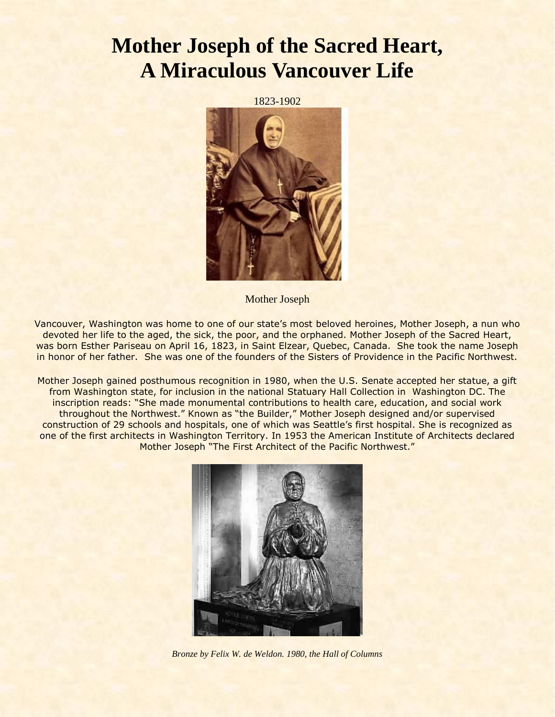## **Mother Joseph of the Sacred Heart, A Miraculous Vancouver Life**

1823-1902



Mother Joseph

Vancouver, Washington was home to one of our state's most beloved heroines, Mother Joseph, a nun who devoted her life to the aged, the sick, the poor, and the orphaned. Mother Joseph of the Sacred Heart, was born Esther Pariseau on April 16, 1823, in Saint Elzear, Quebec, Canada. She took the name Joseph in honor of her father. She was one of the founders of the Sisters of Providence in the Pacific Northwest.

Mother Joseph gained posthumous recognition in 1980, when the U.S. Senate accepted her statue, a gift from Washington state, for inclusion in the national Statuary Hall Collection in Washington DC. The inscription reads: "She made monumental contributions to health care, education, and social work throughout the Northwest." Known as "the Builder," Mother Joseph designed and/or supervised construction of 29 schools and hospitals, one of which was Seattle's first hospital. She is recognized as one of the first architects in Washington Territory. In 1953 the American Institute of Architects declared Mother Joseph "The First Architect of the Pacific Northwest."



*Bronze by Felix W. de Weldon. 1980, the Hall of Columns*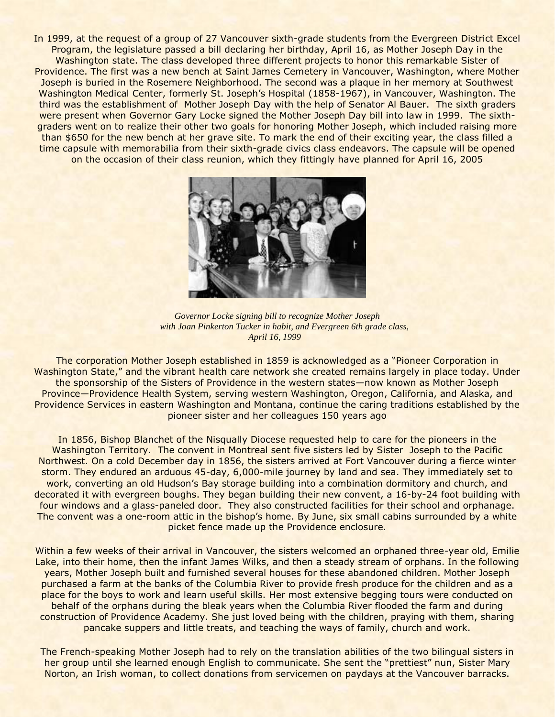In 1999, at the request of a group of 27 Vancouver sixth-grade students from the Evergreen District Excel Program, the legislature passed a bill declaring her birthday, April 16, as Mother Joseph Day in the Washington state. The class developed three different projects to honor this remarkable Sister of Providence. The first was a new bench at Saint James Cemetery in Vancouver, Washington, where Mother Joseph is buried in the Rosemere Neighborhood. The second was a plaque in her memory at Southwest Washington Medical Center, formerly St. Joseph's Hospital (1858-1967), in Vancouver, Washington. The third was the establishment of Mother Joseph Day with the help of Senator Al Bauer. The sixth graders were present when Governor Gary Locke signed the Mother Joseph Day bill into law in 1999. The sixthgraders went on to realize their other two goals for honoring Mother Joseph, which included raising more than \$650 for the new bench at her grave site. To mark the end of their exciting year, the class filled a time capsule with memorabilia from their sixth-grade civics class endeavors. The capsule will be opened on the occasion of their class reunion, which they fittingly have planned for April 16, 2005



 *Governor Locke signing bill to recognize Mother Joseph with Joan Pinkerton Tucker in habit, and Evergreen 6th grade class, April 16, 1999*

The corporation Mother Joseph established in 1859 is acknowledged as a "Pioneer Corporation in Washington State," and the vibrant health care network she created remains largely in place today. Under the sponsorship of the Sisters of Providence in the western states—now known as Mother Joseph Province—Providence Health System, serving western Washington, Oregon, California, and Alaska, and Providence Services in eastern Washington and Montana, continue the caring traditions established by the pioneer sister and her colleagues 150 years ago

In 1856, Bishop Blanchet of the Nisqually Diocese requested help to care for the pioneers in the Washington Territory. The convent in Montreal sent five sisters led by Sister Joseph to the Pacific Northwest. On a cold December day in 1856, the sisters arrived at Fort Vancouver during a fierce winter storm. They endured an arduous 45-day, 6,000-mile journey by land and sea. They immediately set to work, converting an old Hudson's Bay storage building into a combination dormitory and church, and decorated it with evergreen boughs. They began building their new convent, a 16-by-24 foot building with four windows and a glass-paneled door. They also constructed facilities for their school and orphanage. The convent was a one-room attic in the bishop's home. By June, six small cabins surrounded by a white picket fence made up the Providence enclosure.

Within a few weeks of their arrival in Vancouver, the sisters welcomed an orphaned three-year old, Emilie Lake, into their home, then the infant James Wilks, and then a steady stream of orphans. In the following years, Mother Joseph built and furnished several houses for these abandoned children. Mother Joseph purchased a farm at the banks of the Columbia River to provide fresh produce for the children and as a place for the boys to work and learn useful skills. Her most extensive begging tours were conducted on behalf of the orphans during the bleak years when the Columbia River flooded the farm and during construction of Providence Academy. She just loved being with the children, praying with them, sharing pancake suppers and little treats, and teaching the ways of family, church and work.

The French-speaking Mother Joseph had to rely on the translation abilities of the two bilingual sisters in her group until she learned enough English to communicate. She sent the "prettiest" nun, Sister Mary Norton, an Irish woman, to collect donations from servicemen on paydays at the Vancouver barracks.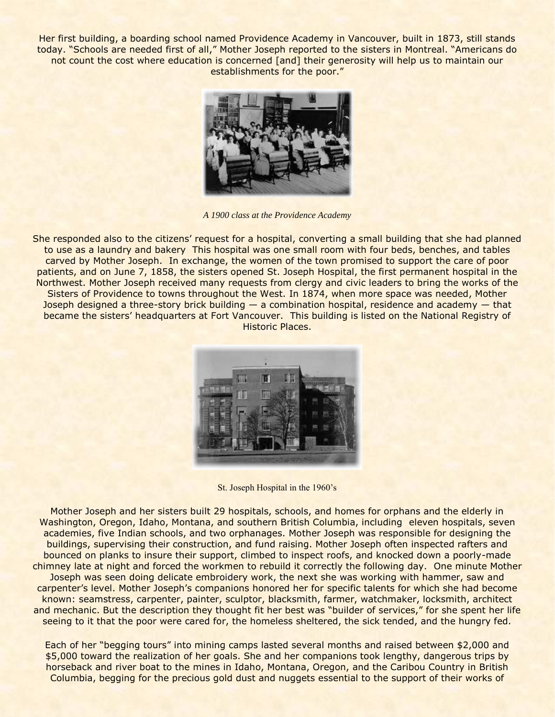Her first building, a boarding school named Providence Academy in Vancouver, built in 1873, still stands today. "Schools are needed first of all," Mother Joseph reported to the sisters in Montreal. "Americans do not count the cost where education is concerned [and] their generosity will help us to maintain our establishments for the poor."



*A 1900 class at the Providence Academy*

She responded also to the citizens' request for a hospital, converting a small building that she had planned to use as a laundry and bakery This hospital was one small room with four beds, benches, and tables carved by Mother Joseph. In exchange, the women of the town promised to support the care of poor patients, and on June 7, 1858, the sisters opened St. Joseph Hospital, the first permanent hospital in the Northwest. Mother Joseph received many requests from clergy and civic leaders to bring the works of the Sisters of Providence to towns throughout the West. In 1874, when more space was needed, Mother Joseph designed a three-story brick building  $-$  a combination hospital, residence and academy  $-$  that became the sisters' headquarters at Fort Vancouver. This building is listed on the National Registry of Historic Places.



St. Joseph Hospital in the 1960's

Mother Joseph and her sisters built 29 hospitals, schools, and homes for orphans and the elderly in Washington, Oregon, Idaho, Montana, and southern British Columbia, including eleven hospitals, seven academies, five Indian schools, and two orphanages. Mother Joseph was responsible for designing the buildings, supervising their construction, and fund raising. Mother Joseph often inspected rafters and bounced on planks to insure their support, climbed to inspect roofs, and knocked down a poorly-made chimney late at night and forced the workmen to rebuild it correctly the following day. One minute Mother Joseph was seen doing delicate embroidery work, the next she was working with hammer, saw and carpenter's level. Mother Joseph's companions honored her for specific talents for which she had become known: seamstress, carpenter, painter, sculptor, blacksmith, farmer, watchmaker, locksmith, architect and mechanic. But the description they thought fit her best was "builder of services," for she spent her life seeing to it that the poor were cared for, the homeless sheltered, the sick tended, and the hungry fed.

Each of her "begging tours" into mining camps lasted several months and raised between \$2,000 and \$5,000 toward the realization of her goals. She and her companions took lengthy, dangerous trips by horseback and river boat to the mines in Idaho, Montana, Oregon, and the Caribou Country in British Columbia, begging for the precious gold dust and nuggets essential to the support of their works of